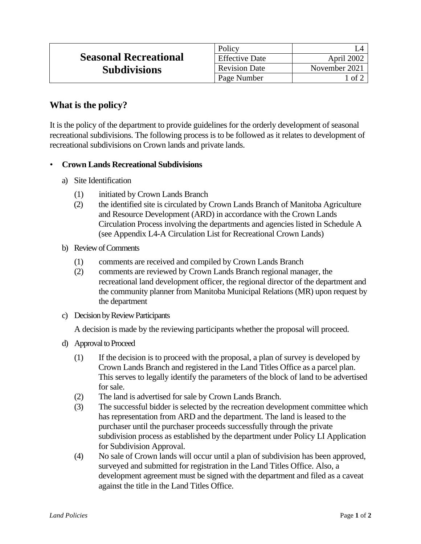|                              | Policy                |                    |
|------------------------------|-----------------------|--------------------|
| <b>Seasonal Recreational</b> | <b>Effective Date</b> | April 2002         |
| <b>Subdivisions</b>          | <b>Revision Date</b>  | November 2021      |
|                              | Page Number           | $\pm$ of $\degree$ |

## **What is the policy?**

It is the policy of the department to provide guidelines for the orderly development of seasonal recreational subdivisions. The following process is to be followed as it relates to development of recreational subdivisions on Crown lands and private lands.

## • **Crown Lands Recreational Subdivisions**

- a) Site Identification
	- (1) initiated by Crown Lands Branch
	- (2) the identified site is circulated by Crown Lands Branch of Manitoba Agriculture and Resource Development (ARD) in accordance with the Crown Lands Circulation Process involving the departments and agencies listed in Schedule A (see Appendix L4-A Circulation List for Recreational Crown Lands)
- b) Review of Comments
	- (1) comments are received and compiled by Crown Lands Branch
	- (2) comments are reviewed by Crown Lands Branch regional manager, the recreational land development officer, the regional director of the department and the community planner from Manitoba Municipal Relations (MR) upon request by the department
- c) Decision by Review Participants

A decision is made by the reviewing participants whether the proposal will proceed.

- d) Approval to Proceed
	- (1) If the decision is to proceed with the proposal, a plan of survey is developed by Crown Lands Branch and registered in the Land Titles Office as a parcel plan. This serves to legally identify the parameters of the block of land to be advertised for sale.
	- (2) The land is advertised for sale by Crown Lands Branch.
	- (3) The successful bidder is selected by the recreation development committee which has representation from ARD and the department. The land is leased to the purchaser until the purchaser proceeds successfully through the private subdivision process as established by the department under Policy LI Application for Subdivision Approval.
	- (4) No sale of Crown lands will occur until a plan of subdivision has been approved, surveyed and submitted for registration in the Land Titles Office. Also, a development agreement must be signed with the department and filed as a caveat against the title in the Land Titles Office.